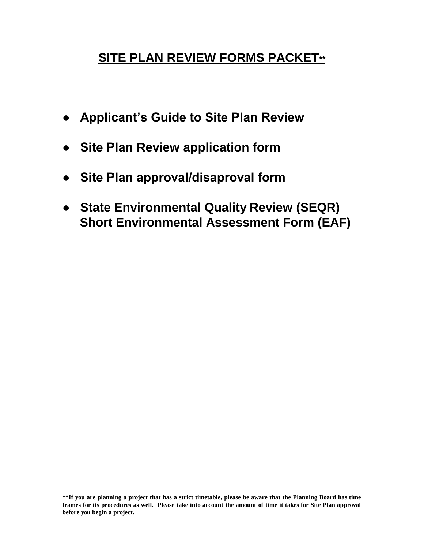# **SITE PLAN REVIEW FORMS PACKET\*\***

- **Applicant's Guide to Site Plan Review**
- **Site Plan Review application form**
- **Site Plan approval/disaproval form**
- **State Environmental Quality Review (SEQR) Short Environmental Assessment Form (EAF)**

**\*\*If you are planning a project that has a strict timetable, please be aware that the Planning Board has time frames for its procedures as well. Please take into account the amount of time it takes for Site Plan approval before you begin a project.**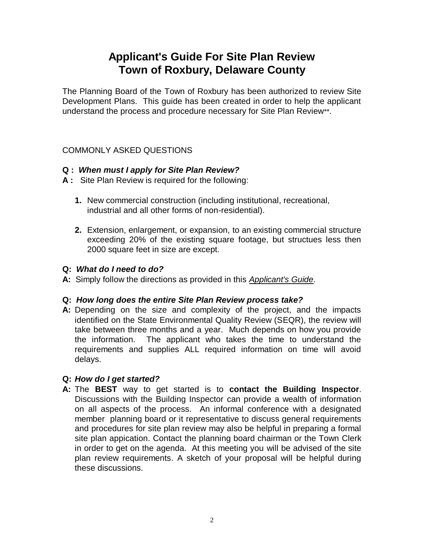# **Applicant's Guide For Site Plan Review Town of Roxbury, Delaware County**

The Planning Board of the Town of Roxbury has been authorized to review Site Development Plans. This guide has been created in order to help the applicant understand the process and procedure necessary for Site Plan Review\*\*.

#### COMMONLY ASKED QUESTIONS

#### **Q :** *When must I apply for Site Plan Review?*

- **A :** Site Plan Review is required for the following:
	- **1.** New commercial construction (including institutional, recreational, industrial and all other forms of non-residential).
	- **2.** Extension, enlargement, or expansion, to an existing commercial structure exceeding 20% of the existing square footage, but structues less then 2000 square feet in size are except.

#### **Q:** *What do I need to do?*

**A:** Simply follow the directions as provided in this *Applicant's Guide*.

## **Q:** *How long does the entire Site Plan Review process take?*

**A:** Depending on the size and complexity of the project, and the impacts identified on the State Environmental Quality Review (SEQR), the review will take between three months and a year. Much depends on how you provide the information. The applicant who takes the time to understand the requirements and supplies ALL required information on time will avoid delays.

## **Q:** *How do I get started?*

**A:** The **BEST** way to get started is to **contact the Building Inspector**. Discussions with the Building Inspector can provide a wealth of information on all aspects of the process. An informal conference with a designated member planning board or it representative to discuss general requirements and procedures for site plan review may also be helpful in preparing a formal site plan appication. Contact the planning board chairman or the Town Clerk in order to get on the agenda. At this meeting you will be advised of the site plan review requirements. A sketch of your proposal will be helpful during these discussions.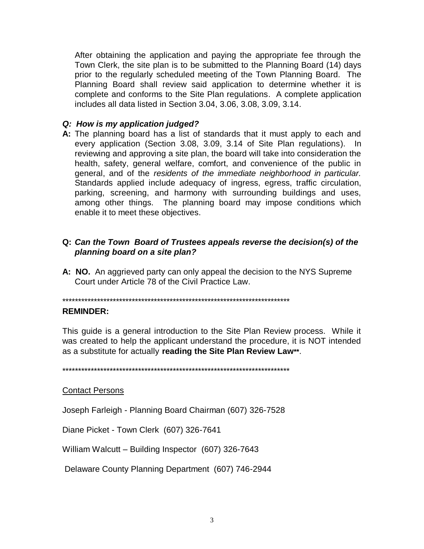After obtaining the application and paying the appropriate fee through the Town Clerk, the site plan is to be submitted to the Planning Board (14) days prior to the regularly scheduled meeting of the Town Planning Board. The Planning Board shall review said application to determine whether it is complete and conforms to the Site Plan regulations. A complete application includes all data listed in Section 3.04, 3.06, 3.08, 3.09, 3.14.

#### Q: How is my application judged?

A: The planning board has a list of standards that it must apply to each and every application (Section 3.08, 3.09, 3.14 of Site Plan regulations). In reviewing and approving a site plan, the board will take into consideration the health, safety, general welfare, comfort, and convenience of the public in general, and of the residents of the immediate neighborhood in particular. Standards applied include adequacy of ingress, egress, traffic circulation, parking, screening, and harmony with surrounding buildings and uses, among other things. The planning board may impose conditions which enable it to meet these objectives.

#### Q: Can the Town Board of Trustees appeals reverse the decision(s) of the planning board on a site plan?

A: NO. An aggrieved party can only appeal the decision to the NYS Supreme Court under Article 78 of the Civil Practice Law.

#### **REMINDER:**

This guide is a general introduction to the Site Plan Review process. While it was created to help the applicant understand the procedure, it is NOT intended as a substitute for actually reading the Site Plan Review Law\*\*.

#### **Contact Persons**

Joseph Farleigh - Planning Board Chairman (607) 326-7528

Diane Picket - Town Clerk (607) 326-7641

William Walcutt - Building Inspector (607) 326-7643

Delaware County Planning Department (607) 746-2944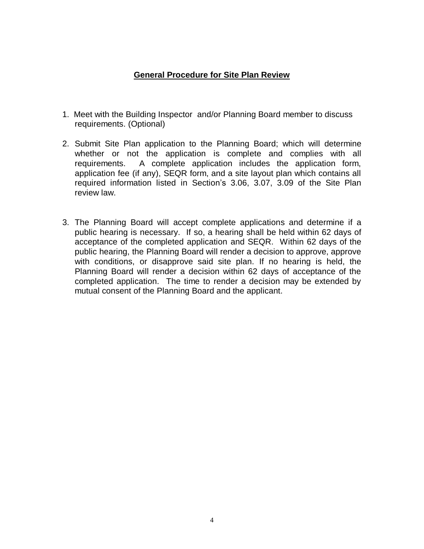#### **General Procedure for Site Plan Review**

- 1. Meet with the Building Inspector and/or Planning Board member to discuss requirements. (Optional)
- 2. Submit Site Plan application to the Planning Board; which will determine whether or not the application is complete and complies with all requirements. A complete application includes the application form, application fee (if any), SEQR form, and a site layout plan which contains all required information listed in Section's 3.06, 3.07, 3.09 of the Site Plan review law.
- 3. The Planning Board will accept complete applications and determine if a public hearing is necessary. If so, a hearing shall be held within 62 days of acceptance of the completed application and SEQR. Within 62 days of the public hearing, the Planning Board will render a decision to approve, approve with conditions, or disapprove said site plan. If no hearing is held, the Planning Board will render a decision within 62 days of acceptance of the completed application. The time to render a decision may be extended by mutual consent of the Planning Board and the applicant.